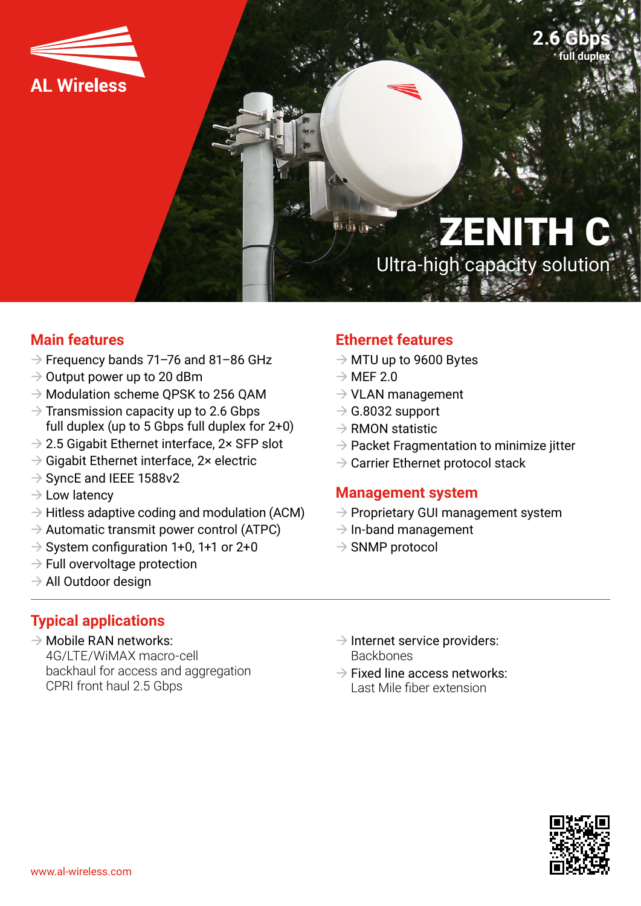

ZENITH C Ultra-high capacity solution

### **Main features**

- $\rightarrow$  Frequency bands 71–76 and 81–86 GHz
- $\rightarrow$  Output power up to 20 dBm
- $\rightarrow$  Modulation scheme OPSK to 256 OAM
- $\rightarrow$  Transmission capacity up to 2.6 Gbps full duplex (up to 5 Gbps full duplex for 2+0)
- $\rightarrow$  2.5 Gigabit Ethernet interface, 2× SFP slot
- $\rightarrow$  Gigabit Ethernet interface, 2× electric
- $\rightarrow$  SyncE and IEEE 1588v2
- $\rightarrow$  Low latency
- $\rightarrow$  Hitless adaptive coding and modulation (ACM)
- $\rightarrow$  Automatic transmit power control (ATPC)
- $\rightarrow$  System configuration 1+0, 1+1 or 2+0
- $\rightarrow$  Full overvoltage protection
- $\rightarrow$  All Outdoor design

## **Ethernet features**

- $\rightarrow$  MTU up to 9600 Bytes
- $\rightarrow$  MEF 2.0

**Haitain** 

- $\rightarrow$  VLAN management
- $\rightarrow$  G.8032 support
- $\rightarrow$  RMON statistic
- $\rightarrow$  Packet Fragmentation to minimize jitter
- $\rightarrow$  Carrier Ethernet protocol stack

#### **Management system**

- $\rightarrow$  Proprietary GUI management system
- $\rightarrow$  In-band management
- $\rightarrow$  SNMP protocol

## **Typical applications**

- $\rightarrow$  Mobile RAN networks: 4G/LTE/WiMAX macro-cell backhaul for access and aggregation CPRI front haul 2.5 Gbps
- $\rightarrow$  Internet service providers: **Backbones**
- $\rightarrow$  Fixed line access networks: Last Mile fiber extension